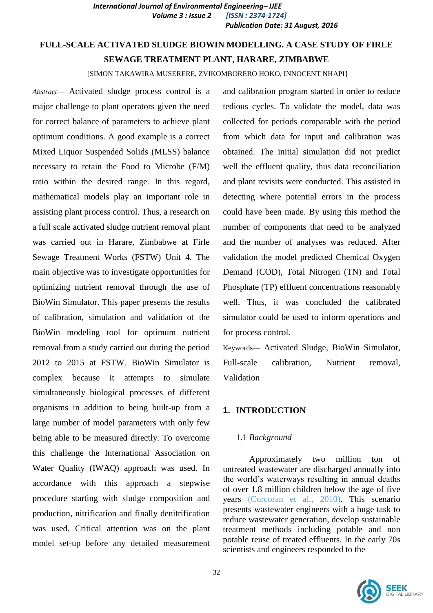*International Journal of Environmental Engineering– IJEE Volume 3 : Issue 2 [ISSN : 2374-1724] Publication Date: 31 August, 2016*

# **FULL-SCALE ACTIVATED SLUDGE BIOWIN MODELLING. A CASE STUDY OF FIRLE SEWAGE TREATMENT PLANT, HARARE, ZIMBABWE**

[SIMON TAKAWIRA MUSERERE, ZVIKOMBORERO HOKO, INNOCENT NHAPI]

*Abstract*— Activated sludge process control is a major challenge to plant operators given the need for correct balance of parameters to achieve plant optimum conditions. A good example is a correct Mixed Liquor Suspended Solids (MLSS) balance necessary to retain the Food to Microbe (F/M) ratio within the desired range. In this regard, mathematical models play an important role in assisting plant process control. Thus, a research on a full scale activated sludge nutrient removal plant was carried out in Harare, Zimbabwe at Firle Sewage Treatment Works (FSTW) Unit 4. The main objective was to investigate opportunities for optimizing nutrient removal through the use of BioWin Simulator. This paper presents the results of calibration, simulation and validation of the BioWin modeling tool for optimum nutrient removal from a study carried out during the period 2012 to 2015 at FSTW. BioWin Simulator is complex because it attempts to simulate simultaneously biological processes of different organisms in addition to being built-up from a large number of model parameters with only few being able to be measured directly. To overcome this challenge the International Association on Water Quality (IWAQ) approach was used. In accordance with this approach a stepwise procedure starting with sludge composition and production, nitrification and finally denitrification was used. Critical attention was on the plant model set-up before any detailed measurement

and calibration program started in order to reduce tedious cycles. To validate the model, data was collected for periods comparable with the period from which data for input and calibration was obtained. The initial simulation did not predict well the effluent quality, thus data reconciliation and plant revisits were conducted. This assisted in detecting where potential errors in the process could have been made. By using this method the number of components that need to be analyzed and the number of analyses was reduced. After validation the model predicted Chemical Oxygen Demand (COD), Total Nitrogen (TN) and Total Phosphate (TP) effluent concentrations reasonably well. Thus, it was concluded the calibrated simulator could be used to inform operations and for process control.

Keywords— Activated Sludge, BioWin Simulator, Full-scale calibration, Nutrient removal, Validation

#### **1. INTRODUCTION**

#### 1.1 *Background*

Approximately two million ton of untreated wastewater are discharged annually into the world's waterways resulting in annual deaths of over 1.8 million children below the age of five years (Corcoran et al*.*, 2010). This scenario presents wastewater engineers with a huge task to reduce wastewater generation, develop sustainable treatment methods including potable and non potable reuse of treated effluents. In the early 70s scientists and engineers responded to the

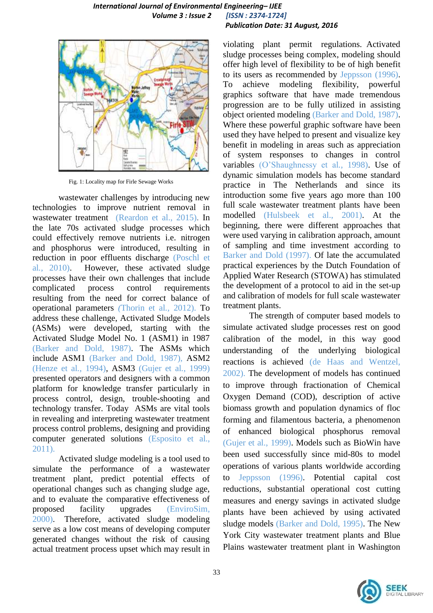#### *International Journal of Environmental Engineering– IJEE Volume 3 : Issue 2 [ISSN : 2374-1724] Publication Date: 31 August, 2016*



Fig. 1: Locality map for Firle Sewage Works

wastewater challenges by introducing new technologies to improve nutrient removal in wastewater treatment (Reardon et al., 2015). In the late 70s activated sludge processes which could effectively remove nutrients i.e. nitrogen and phosphorus were introduced, resulting in reduction in poor effluents discharge (Poschl et al*.*, 2010). However, these activated sludge processes have their own challenges that include complicated process control requirements resulting from the need for correct balance of operational parameters *(*Thorin et al*.,* 2012). To address these challenge, Activated Sludge Models (ASMs) were developed, starting with the Activated Sludge Model No. 1 (ASM1) in 1987 (Barker and Dold, 1987). The ASMs which include ASM1 (Barker and Dold*,* 1987)*,* ASM2 (Henze et al*.*, 1994), ASM3 (Gujer et al*.*, 1999) presented operators and designers with a common platform for knowledge transfer particularly in process control, design, trouble-shooting and technology transfer. Today ASMs are vital tools in revealing and interpreting wastewater treatment process control problems, designing and providing computer generated solutions (Esposito et al*.*, 2011).

Activated sludge modeling is a tool used to simulate the performance of a wastewater treatment plant, predict potential effects of operational changes such as changing sludge age, and to evaluate the comparative effectiveness of proposed facility upgrades (EnviroSim, 2000). Therefore, activated sludge modeling serve as a low cost means of developing computer generated changes without the risk of causing actual treatment process upset which may result in

violating plant permit regulations. Activated sludge processes being complex, modeling should offer high level of flexibility to be of high benefit to its users as recommended by Jeppsson (1996). To achieve modeling flexibility, powerful graphics software that have made tremendous progression are to be fully utilized in assisting object oriented modeling (Barker and Dold, 1987). Where these powerful graphic software have been used they have helped to present and visualize key benefit in modeling in areas such as appreciation of system responses to changes in control variables (O'Shaughnessy et al*.*, 1998). Use of dynamic simulation models has become standard practice in The Netherlands and since its introduction some five years ago more than 100 full scale wastewater treatment plants have been modelled (Hulsbeek et al., 2001). At the beginning, there were different approaches that were used varying in calibration approach, amount of sampling and time investment according to Barker and Dold (1997). Of late the accumulated practical experiences by the Dutch Foundation of Applied Water Research (STOWA) has stimulated the development of a protocol to aid in the set-up and calibration of models for full scale wastewater treatment plants.

The strength of computer based models to simulate activated sludge processes rest on good calibration of the model, in this way good understanding of the underlying biological reactions is achieved (de Haas and Wentzel, 2002). The development of models has continued to improve through fractionation of Chemical Oxygen Demand (COD), description of active biomass growth and population dynamics of floc forming and filamentous bacteria, a phenomenon of enhanced biological phosphorus removal (Gujer et al., 1999). Models such as BioWin have been used successfully since mid-80s to model operations of various plants worldwide according to Jeppsson (1996). Potential capital cost reductions, substantial operational cost cutting measures and energy savings in activated sludge plants have been achieved by using activated sludge models (Barker and Dold, 1995). The New York City wastewater treatment plants and Blue Plains wastewater treatment plant in Washington

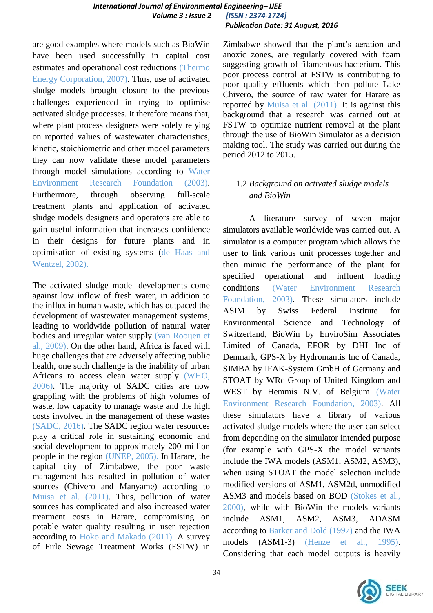are good examples where models such as BioWin have been used successfully in capital cost estimates and operational cost reductions (Thermo Energy Corporation, 2007). Thus, use of activated sludge models brought closure to the previous challenges experienced in trying to optimise activated sludge processes. It therefore means that, where plant process designers were solely relying on reported values of wastewater characteristics, kinetic, stoichiometric and other model parameters they can now validate these model parameters through model simulations according to Water Environment Research Foundation (2003). Furthermore, through observing full-scale treatment plants and application of activated sludge models designers and operators are able to gain useful information that increases confidence in their designs for future plants and in optimisation of existing systems (de Haas and Wentzel, 2002).

The activated sludge model developments come against low inflow of fresh water, in addition to the influx in human waste, which has outpaced the development of wastewater management systems, leading to worldwide pollution of natural water bodies and irregular water supply (van Rooijen et al., 2009). On the other hand, Africa is faced with huge challenges that are adversely affecting public health, one such challenge is the inability of urban Africans to access clean water supply (WHO, 2006). The majority of SADC cities are now grappling with the problems of high volumes of waste, low capacity to manage waste and the high costs involved in the management of these wastes (SADC, 2016). The SADC region water resources play a critical role in sustaining economic and social development to approximately 200 million people in the region (UNEP, 2005). In Harare, the capital city of Zimbabwe, the poor waste management has resulted in pollution of water sources (Chivero and Manyame) according to Muisa et al. (2011). Thus, pollution of water sources has complicated and also increased water treatment costs in Harare, compromising on potable water quality resulting in user rejection according to Hoko and Makado (2011). A survey of Firle Sewage Treatment Works (FSTW) in Zimbabwe showed that the plant's aeration and anoxic zones, are regularly covered with foam suggesting growth of filamentous bacterium. This poor process control at FSTW is contributing to poor quality effluents which then pollute Lake Chivero, the source of raw water for Harare as reported by Muisa et al*.* (2011). It is against this background that a research was carried out at FSTW to optimize nutrient removal at the plant through the use of BioWin Simulator as a decision making tool. The study was carried out during the period 2012 to 2015.

# 1.2 *Background on activated sludge models and BioWin*

A literature survey of seven major simulators available worldwide was carried out. A simulator is a computer program which allows the user to link various unit processes together and then mimic the performance of the plant for specified operational and influent loading conditions (Water Environment Research Foundation, 2003). These simulators include ASIM by Swiss Federal Institute for Environmental Science and Technology of Switzerland, BioWin by EnviroSim Associates Limited of Canada, EFOR by DHI Inc of Denmark, GPS-X by Hydromantis Inc of Canada, SIMBA by IFAK-System GmbH of Germany and STOAT by WRc Group of United Kingdom and WEST by Hemmis N.V. of Belgium (Water Environment Research Foundation, 2003). All these simulators have a library of various activated sludge models where the user can select from depending on the simulator intended purpose (for example with GPS-X the model variants include the IWA models (ASM1, ASM2, ASM3), when using STOAT the model selection include modified versions of ASM1, ASM2d, unmodified ASM3 and models based on BOD (Stokes et al.*,* 2000), while with BioWin the models variants include ASM1, ASM2, ASM3, ADASM according to Barker and Dold (1997) and the IWA models (ASM1-3) (Henze et al*.*, 1995). Considering that each model outputs is heavily

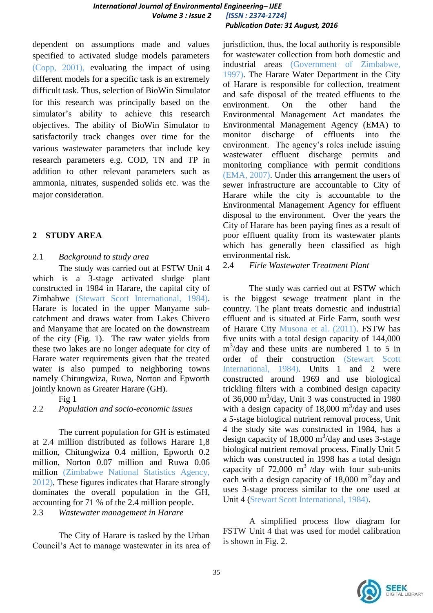dependent on assumptions made and values specified to activated sludge models parameters (Copp, 2001), evaluating the impact of using different models for a specific task is an extremely difficult task. Thus, selection of BioWin Simulator for this research was principally based on the simulator's ability to achieve this research objectives. The ability of BioWin Simulator to satisfactorily track changes over time for the various wastewater parameters that include key research parameters e.g. COD, TN and TP in addition to other relevant parameters such as ammonia, nitrates, suspended solids etc. was the major consideration.

# **2 STUDY AREA**

# 2.1 *Background to study area*

The study was carried out at FSTW Unit 4 which is a 3-stage activated sludge plant constructed in 1984 in Harare, the capital city of Zimbabwe (Stewart Scott International, 1984). Harare is located in the upper Manyame subcatchment and draws water from Lakes Chivero and Manyame that are located on the downstream of the city (Fig. 1). The raw water yields from these two lakes are no longer adequate for city of Harare water requirements given that the treated water is also pumped to neighboring towns namely Chitungwiza, Ruwa, Norton and Epworth jointly known as Greater Harare (GH).

Fig 1

# 2.2 *Population and socio-economic issues*

The current population for GH is estimated at 2.4 million distributed as follows Harare 1,8 million, Chitungwiza 0.4 million, Epworth 0.2 million, Norton 0.07 million and Ruwa 0.06 million (Zimbabwe National Statistics Agency, 2012), These figures indicates that Harare strongly dominates the overall population in the GH, accounting for 71 % of the 2.4 million people.

2.3 *Wastewater management in Harare*

The City of Harare is tasked by the Urban Council's Act to manage wastewater in its area of jurisdiction, thus, the local authority is responsible for wastewater collection from both domestic and industrial areas (Government of Zimbabwe, 1997). The Harare Water Department in the City of Harare is responsible for collection, treatment and safe disposal of the treated effluents to the environment. On the other hand the Environmental Management Act mandates the Environmental Management Agency (EMA) to monitor discharge of effluents into the environment. The agency's roles include issuing wastewater effluent discharge permits and monitoring compliance with permit conditions (EMA, 2007). Under this arrangement the users of sewer infrastructure are accountable to City of Harare while the city is accountable to the Environmental Management Agency for effluent disposal to the environment. Over the years the City of Harare has been paying fines as a result of poor effluent quality from its wastewater plants which has generally been classified as high environmental risk.

2.4 *Firle Wastewater Treatment Plant*

The study was carried out at FSTW which is the biggest sewage treatment plant in the country. The plant treats domestic and industrial effluent and is situated at Firle Farm, south west of Harare City Musona et al. (2011). FSTW has five units with a total design capacity of 144,000 m 3 /day and these units are numbered 1 to 5 in order of their construction (Stewart Scott International, 1984). Units 1 and 2 were constructed around 1969 and use biological trickling filters with a combined design capacity of 36,000 m<sup>3</sup>/day, Unit 3 was constructed in 1980 with a design capacity of  $18,000 \text{ m}^3/\text{day}$  and uses a 5-stage biological nutrient removal process, Unit 4 the study site was constructed in 1984, has a design capacity of  $18,000 \text{ m}^3/\text{day}$  and uses 3-stage biological nutrient removal process. Finally Unit 5 which was constructed in 1998 has a total design capacity of  $72,000 \text{ m}^3$  /day with four sub-units each with a design capacity of 18,000  $\text{m}^3/\text{day}$  and uses 3-stage process similar to the one used at Unit 4 (Stewart Scott International, 1984).

A simplified process flow diagram for FSTW Unit 4 that was used for model calibration is shown in Fig. 2.

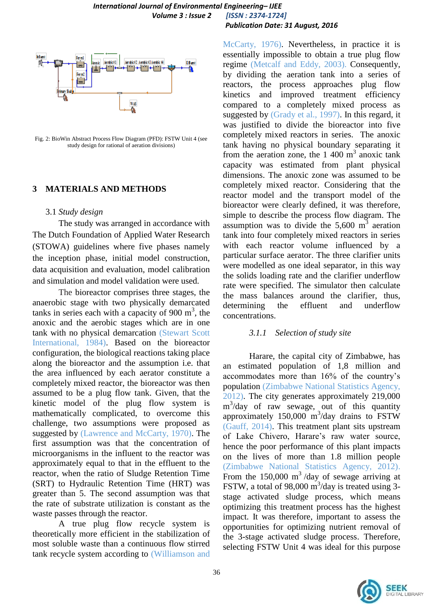

Fig. 2: BioWin Abstract Process Flow Diagram (PFD): FSTW Unit 4 (see study design for rational of aeration divisions)

### **3 MATERIALS AND METHODS**

#### 3.1 *Study design*

The study was arranged in accordance with The Dutch Foundation of Applied Water Research (STOWA) guidelines where five phases namely the inception phase, initial model construction, data acquisition and evaluation, model calibration and simulation and model validation were used.

The bioreactor comprises three stages, the anaerobic stage with two physically demarcated tanks in series each with a capacity of  $900 \text{ m}^3$ , the anoxic and the aerobic stages which are in one tank with no physical demarcation (Stewart Scott International, 1984). Based on the bioreactor configuration, the biological reactions taking place along the bioreactor and the assumption i.e. that the area influenced by each aerator constitute a completely mixed reactor, the bioreactor was then assumed to be a plug flow tank. Given, that the kinetic model of the plug flow system is mathematically complicated, to overcome this challenge, two assumptions were proposed as suggested by (Lawrence and McCarty, 1970). The first assumption was that the concentration of microorganisms in the influent to the reactor was approximately equal to that in the effluent to the reactor, when the ratio of Sludge Retention Time (SRT) to Hydraulic Retention Time (HRT) was greater than 5. The second assumption was that the rate of substrate utilization is constant as the waste passes through the reactor.

A true plug flow recycle system is theoretically more efficient in the stabilization of most soluble waste than a continuous flow stirred tank recycle system according to (Williamson and

McCarty, 1976). Nevertheless, in practice it is essentially impossible to obtain a true plug flow regime (Metcalf and Eddy, 2003). Consequently, by dividing the aeration tank into a series of reactors, the process approaches plug flow kinetics and improved treatment efficiency compared to a completely mixed process as suggested by (Grady et al., 1997). In this regard, it was justified to divide the bioreactor into five completely mixed reactors in series. The anoxic tank having no physical boundary separating it from the aeration zone, the  $1,400 \text{ m}^3$  anoxic tank capacity was estimated from plant physical dimensions. The anoxic zone was assumed to be completely mixed reactor. Considering that the reactor model and the transport model of the bioreactor were clearly defined, it was therefore, simple to describe the process flow diagram. The assumption was to divide the  $5,600 \text{ m}^3$  aeration tank into four completely mixed reactors in series with each reactor volume influenced by a particular surface aerator. The three clarifier units were modelled as one ideal separator, in this way the solids loading rate and the clarifier underflow rate were specified. The simulator then calculate the mass balances around the clarifier, thus, determining the effluent and underflow concentrations.

# *3.1.1 Selection of study site*

Harare, the capital city of Zimbabwe, has an estimated population of 1,8 million and accommodates more than 16% of the country's population (Zimbabwe National Statistics Agency, 2012). The city generates approximately 219,000 m 3 /day of raw sewage, out of this quantity approximately  $150,000$  m<sup>3</sup>/day drains to FSTW (Gauff, 2014). This treatment plant sits upstream of Lake Chivero, Harare's raw water source, hence the poor performance of this plant impacts on the lives of more than 1.8 million people (Zimbabwe National Statistics Agency, 2012). From the 150,000  $\text{m}^3$ /day of sewage arriving at FSTW, a total of 98,000  $\text{m}^3$ /day is treated using 3stage activated sludge process, which means optimizing this treatment process has the highest impact. It was therefore, important to assess the opportunities for optimizing nutrient removal of the 3-stage activated sludge process. Therefore, selecting FSTW Unit 4 was ideal for this purpose

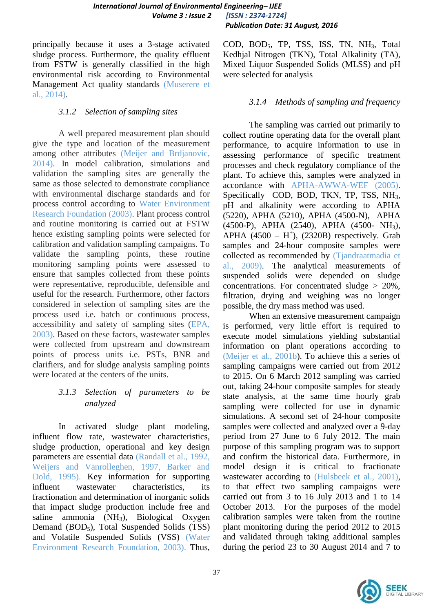principally because it uses a 3-stage activated sludge process. Furthermore, the quality effluent from FSTW is generally classified in the high environmental risk according to Environmental Management Act quality standards (Muserere et al., 2014).

### *3.1.2 Selection of sampling sites*

A well prepared measurement plan should give the type and location of the measurement among other attributes (Meijer and Brdjanovic, 2014). In model calibration, simulations and validation the sampling sites are generally the same as those selected to demonstrate compliance with environmental discharge standards and for process control according to Water Environment Research Foundation (2003). Plant process control and routine monitoring is carried out at FSTW hence existing sampling points were selected for calibration and validation sampling campaigns. To validate the sampling points, these routine monitoring sampling points were assessed to ensure that samples collected from these points were representative, reproducible, defensible and useful for the research. Furthermore, other factors considered in selection of sampling sites are the process used i.e. batch or continuous process, accessibility and safety of sampling sites (EPA, 2003). Based on these factors, wastewater samples were collected from upstream and downstream points of process units i.e. PSTs, BNR and clarifiers, and for sludge analysis sampling points were located at the centers of the units.

# *3.1.3 Selection of parameters to be analyzed*

In activated sludge plant modeling, influent flow rate, wastewater characteristics, sludge production, operational and key design parameters are essential data (Randall et al., 1992, Weijers and Vanrolleghen, 1997, Barker and Dold, 1995). Key information for supporting influent wastewater characteristics, its fractionation and determination of inorganic solids that impact sludge production include free and saline ammonia  $(NH_3)$ , Biological Oxygen Demand (BOD<sub>5</sub>), Total Suspended Solids (TSS) and Volatile Suspended Solids (VSS) (Water Environment Research Foundation, 2003). Thus,

COD, BOD<sub>5</sub>, TP, TSS, ISS, TN, NH<sub>3</sub>, Total Kedhjal Nitrogen (TKN), Total Alkalinity (TA), Mixed Liquor Suspended Solids (MLSS) and pH were selected for analysis

# *3.1.4 Methods of sampling and frequency*

The sampling was carried out primarily to collect routine operating data for the overall plant performance, to acquire information to use in assessing performance of specific treatment processes and check regulatory compliance of the plant. To achieve this, samples were analyzed in accordance with APHA-AWWA-WEF (2005). Specifically COD, BOD, TKN, TP, TSS, NH<sub>3</sub>, pH and alkalinity were according to APHA (5220), APHA (5210), APHA (4500-N), APHA (4500-P), APHA (2540), APHA (4500- NH3), APHA  $(4500 - H^+)$ ,  $(2320B)$  respectively. Grab samples and 24-hour composite samples were collected as recommended by (Tjandraatmadia et al., 2009). The analytical measurements of suspended solids were depended on sludge concentrations. For concentrated sludge > 20%, filtration, drying and weighing was no longer possible, the dry mass method was used.

When an extensive measurement campaign is performed, very little effort is required to execute model simulations yielding substantial information on plant operations according to (Meijer et al., 2001b). To achieve this a series of sampling campaigns were carried out from 2012 to 2015. On 6 March 2012 sampling was carried out, taking 24-hour composite samples for steady state analysis, at the same time hourly grab sampling were collected for use in dynamic simulations. A second set of 24-hour composite samples were collected and analyzed over a 9-day period from 27 June to 6 July 2012. The main purpose of this sampling program was to support and confirm the historical data. Furthermore, in model design it is critical to fractionate wastewater according to (Hulsbeek et al., 2001), to that effect two sampling campaigns were carried out from 3 to 16 July 2013 and 1 to 14 October 2013. For the purposes of the model calibration samples were taken from the routine plant monitoring during the period 2012 to 2015 and validated through taking additional samples during the period 23 to 30 August 2014 and 7 to

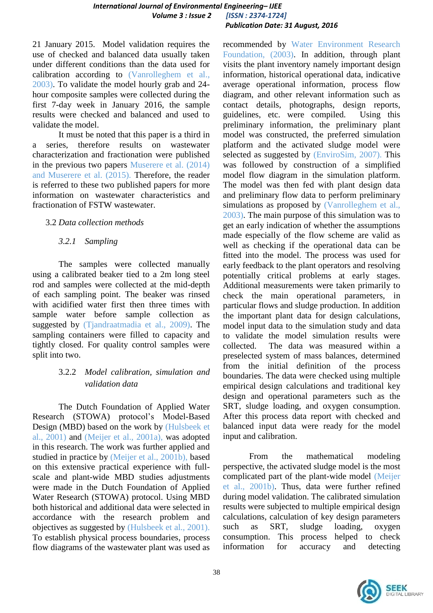21 January 2015. Model validation requires the use of checked and balanced data usually taken under different conditions than the data used for calibration according to (Vanrolleghem et al., 2003). To validate the model hourly grab and 24 hour composite samples were collected during the first 7-day week in January 2016, the sample results were checked and balanced and used to validate the model.

It must be noted that this paper is a third in a series, therefore results on wastewater characterization and fractionation were published in the previous two papers Muserere et al. (2014) and Muserere et al. (2015). Therefore, the reader is referred to these two published papers for more information on wastewater characteristics and fractionation of FSTW wastewater.

# 3.2 *Data collection methods*

# *3.2.1 Sampling*

The samples were collected manually using a calibrated beaker tied to a 2m long steel rod and samples were collected at the mid-depth of each sampling point. The beaker was rinsed with acidified water first then three times with sample water before sample collection as suggested by (Tjandraatmadia et al., 2009). The sampling containers were filled to capacity and tightly closed. For quality control samples were split into two.

# 3.2.2 *Model calibration, simulation and validation data*

The Dutch Foundation of Applied Water Research (STOWA) protocol's Model-Based Design (MBD) based on the work by (Hulsbeek et al., 2001) and (Meijer et al., 2001a), was adopted in this research. The work was further applied and studied in practice by (Meijer et al., 2001b), based on this extensive practical experience with fullscale and plant-wide MBD studies adjustments were made in the Dutch Foundation of Applied Water Research (STOWA) protocol. Using MBD both historical and additional data were selected in accordance with the research problem and objectives as suggested by (Hulsbeek et al., 2001). To establish physical process boundaries, process flow diagrams of the wastewater plant was used as

recommended by Water Environment Research Foundation, (2003). In addition, through plant visits the plant inventory namely important design information, historical operational data, indicative average operational information, process flow diagram, and other relevant information such as contact details, photographs, design reports, guidelines, etc. were compiled. Using this preliminary information, the preliminary plant model was constructed, the preferred simulation platform and the activated sludge model were selected as suggested by (EnviroSim, 2007). This was followed by construction of a simplified model flow diagram in the simulation platform. The model was then fed with plant design data and preliminary flow data to perform preliminary simulations as proposed by (Vanrolleghem et al., 2003). The main purpose of this simulation was to get an early indication of whether the assumptions made especially of the flow scheme are valid as well as checking if the operational data can be fitted into the model. The process was used for early feedback to the plant operators and resolving potentially critical problems at early stages. Additional measurements were taken primarily to check the main operational parameters, in particular flows and sludge production. In addition the important plant data for design calculations, model input data to the simulation study and data to validate the model simulation results were collected. The data was measured within a preselected system of mass balances, determined from the initial definition of the process boundaries. The data were checked using multiple empirical design calculations and traditional key design and operational parameters such as the SRT, sludge loading, and oxygen consumption. After this process data report with checked and balanced input data were ready for the model input and calibration.

From the mathematical modeling perspective, the activated sludge model is the most complicated part of the plant-wide model (Meijer et al., 2001b). Thus, data were further refined during model validation. The calibrated simulation results were subjected to multiple empirical design calculations, calculation of key design parameters such as SRT, sludge loading, oxygen consumption. This process helped to check information for accuracy and detecting

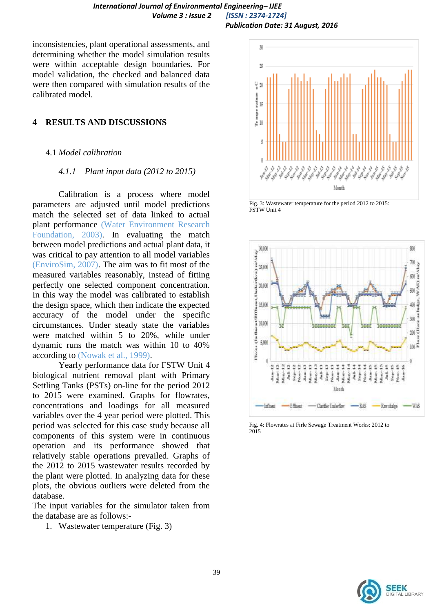inconsistencies, plant operational assessments, and determining whether the model simulation results were within acceptable design boundaries. For model validation, the checked and balanced data were then compared with simulation results of the calibrated model.

#### **4 RESULTS AND DISCUSSIONS**

#### 4.1 *Model calibration*

#### *4.1.1 Plant input data (2012 to 2015)*

Calibration is a process where model parameters are adjusted until model predictions match the selected set of data linked to actual plant performance (Water Environment Research Foundation, 2003). In evaluating the match between model predictions and actual plant data, it was critical to pay attention to all model variables (EnviroSim, 2007). The aim was to fit most of the measured variables reasonably, instead of fitting perfectly one selected component concentration. In this way the model was calibrated to establish the design space, which then indicate the expected accuracy of the model under the specific circumstances. Under steady state the variables were matched within 5 to 20%, while under dynamic runs the match was within 10 to 40% according to (Nowak et al., 1999).

Yearly performance data for FSTW Unit 4 biological nutrient removal plant with Primary Settling Tanks (PSTs) on-line for the period 2012 to 2015 were examined. Graphs for flowrates, concentrations and loadings for all measured variables over the 4 year period were plotted. This period was selected for this case study because all components of this system were in continuous operation and its performance showed that relatively stable operations prevailed. Graphs of the 2012 to 2015 wastewater results recorded by the plant were plotted. In analyzing data for these plots, the obvious outliers were deleted from the database.

The input variables for the simulator taken from the database are as follows:-

1. Wastewater temperature (Fig. 3)



Fig. 3: Wastewater temperature for the period 2012 to 2015: FSTW Unit 4



Fig. 4: Flowrates at Firle Sewage Treatment Works: 2012 to 2015

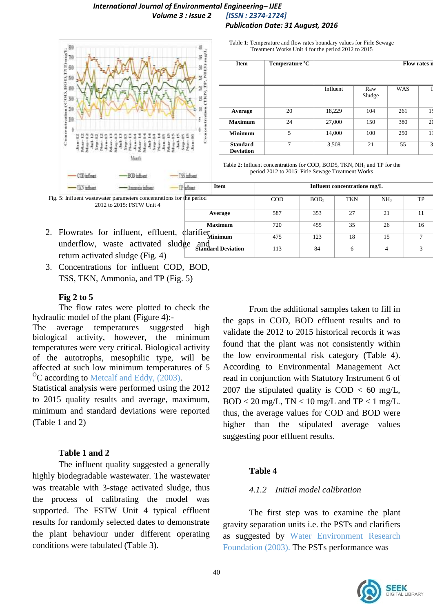#### *International Journal of Environmental Engineering– IJEE Volume 3 : Issue 2 [ISSN : 2374-1724] Publication Date: 31 August, 2016*



Table 1: Temperature and flow rates boundary values for Firle Sewage Treatment Works Unit 4 for the period 2012 to 2015

| <b>Item</b>                         | Temperature °C |          |               |            | Flow rates n   |
|-------------------------------------|----------------|----------|---------------|------------|----------------|
|                                     |                | Influent | Raw<br>Sludge | <b>WAS</b> |                |
| Average                             | 20             | 18,229   | 104           | 261        | 11             |
| <b>Maximum</b>                      | 24             | 27,000   | 150           | 380        | 2 <sub>0</sub> |
| <b>Minimum</b>                      | 5              | 14,000   | 100           | 250        |                |
| <b>Standard</b><br><b>Deviation</b> | 7              | 3,508    | 21            | 55         | 3              |

Table 2: Influent concentrations for COD, BOD5, TKN,  $NH<sub>3</sub>$  and TP for the period 2012 to 2015: Firle Sewage Treatment Works

| -Avenues influent<br>$-188$ influent                                                               | <b>Item</b><br>- I Parfitiant |            |                  | Influent concentrations mg/L |                 |                        |
|----------------------------------------------------------------------------------------------------|-------------------------------|------------|------------------|------------------------------|-----------------|------------------------|
| Fig. 5: Influent was tewater parameters concentrations for the period<br>2012 to 2015: FSTW Unit 4 |                               | <b>COD</b> | BOD <sub>5</sub> | TKN                          | NH <sub>3</sub> | TP                     |
|                                                                                                    | Average                       | 587        | 353              | 27                           | 21              |                        |
| 2. Flowrates for influent, effluent, clarifier Minimum                                             | <b>Maximum</b>                | 720        | 455              | 35                           | 26              | 16                     |
| underflow, waste activated sludge and                                                              |                               | 475        | 123              | 18                           | 15              |                        |
| return activated sludge (Fig. 4)                                                                   |                               | 113        | 84               | 6                            |                 | $\mathbf{\mathcal{R}}$ |

3. Concentrations for influent COD, BOD, TSS, TKN, Ammonia, and TP (Fig. 5)

### **Fig 2 to 5**

The flow rates were plotted to check the hydraulic model of the plant (Figure 4):-

The average temperatures suggested high biological activity, however, the minimum temperatures were very critical. Biological activity of the autotrophs, mesophilic type, will be affected at such low minimum temperatures of 5  $\rm{^{0}C}$  according to Metcalf and Eddy, (2003).

Statistical analysis were performed using the 2012 to 2015 quality results and average, maximum, minimum and standard deviations were reported (Table 1 and 2)

# **Table 1 and 2**

The influent quality suggested a generally highly biodegradable wastewater. The wastewater was treatable with 3-stage activated sludge, thus the process of calibrating the model was supported. The FSTW Unit 4 typical effluent results for randomly selected dates to demonstrate the plant behaviour under different operating conditions were tabulated (Table 3).

From the additional samples taken to fill in the gaps in COD, BOD effluent results and to validate the 2012 to 2015 historical records it was found that the plant was not consistently within the low environmental risk category (Table 4). According to Environmental Management Act read in conjunction with Statutory Instrument 6 of 2007 the stipulated quality is  $\text{COD} < 60 \text{ mg/L}$ ,  $BOD < 20$  mg/L, TN  $< 10$  mg/L and TP  $< 1$  mg/L. thus, the average values for COD and BOD were higher than the stipulated average values suggesting poor effluent results.

# **Table 4**

# *4.1.2 Initial model calibration*

The first step was to examine the plant gravity separation units i.e. the PSTs and clarifiers as suggested by Water Environment Research Foundation (2003). The PSTs performance was

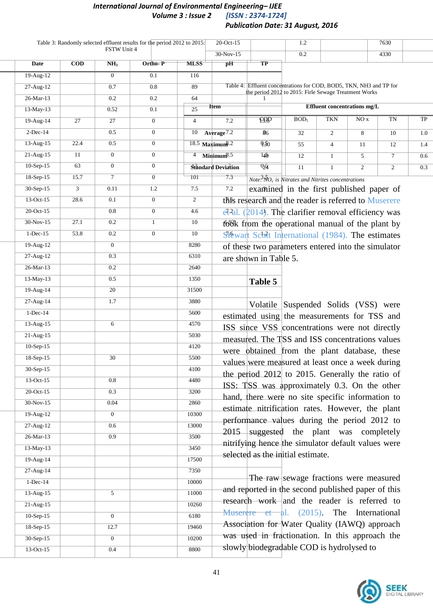# *International Journal of Environmental Engineering– IJEE Volume 3 : Issue 2 Publication Date: 31 August, 2016*

|                 |            | FSTW Unit 4      | Table 3: Randomly selected effluent results for the period 2012 to 2015: |                 | $20$ -Oct-15                  |                                                                                                                             | 1.2                                                                         |                |                              | 7630            |     |
|-----------------|------------|------------------|--------------------------------------------------------------------------|-----------------|-------------------------------|-----------------------------------------------------------------------------------------------------------------------------|-----------------------------------------------------------------------------|----------------|------------------------------|-----------------|-----|
|                 |            |                  |                                                                          |                 | 30-Nov-15                     |                                                                                                                             | $0.2\,$                                                                     |                |                              | 4330            |     |
| Date            | <b>COD</b> | NH <sub>3</sub>  | Ortho-P                                                                  | <b>MLSS</b>     | $\overline{pH}$               | $\overline{\text{TP}}$                                                                                                      |                                                                             |                |                              |                 |     |
| $19-Aug-12$     |            | $\overline{0}$   | 0.1                                                                      | 116             |                               |                                                                                                                             |                                                                             |                |                              |                 |     |
| $27 - Aug-12$   |            | $0.7\,$          | 0.8                                                                      | 89              |                               | Table 4: Effluent concentrations for COD, BOD5, TKN, NH3 and TP for<br>he period 2012 to 2015: Firle Sewage Treatment Works |                                                                             |                |                              |                 |     |
| 26-Mar-13       |            | 0.2              | 0.2                                                                      | 64              |                               |                                                                                                                             |                                                                             |                |                              |                 |     |
| 13-May-13       |            | 0.52             | 0.1                                                                      | $\overline{25}$ | Item-                         |                                                                                                                             |                                                                             |                | Effluent concentrations mg/L |                 |     |
| 19-Aug-14       | 27         | 27               | $\overline{0}$                                                           | $\overline{4}$  | 7.2                           |                                                                                                                             | BOD <sub>5</sub>                                                            | <b>TKN</b>     | NOx                          | TN              | TP  |
| $2-Dec-14$      |            | 0.5              | $\overline{0}$                                                           | 10              | Average <sup>7.2</sup>        | $\overline{86}$                                                                                                             | 32                                                                          | $\overline{2}$ | 8                            | 10              | 1.0 |
| $13-Aug-15$     | 22.4       | 0.5              | $\overline{0}$                                                           |                 | $18.5$ Maximum <sup>8.2</sup> | 950                                                                                                                         | 55                                                                          | $\overline{4}$ | 11                           | 12              | 1.4 |
| $21$ -Aug- $15$ | 11         | $\mathbf{0}$     | $\overline{0}$                                                           |                 | $4$ Minimum <sup>8.5</sup>    | $\overline{140}$                                                                                                            | 12                                                                          | $\mathbf{1}$   | 5                            | $7\overline{ }$ | 0.6 |
| $10-Sep-15$     | 63         | $\overline{0}$   | $\overline{0}$                                                           |                 | <b>Standard Deviation</b>     | 0,5                                                                                                                         | 11                                                                          | $\mathbf{1}$   | $\overline{2}$               | $\overline{2}$  | 0.3 |
| 18-Sep-15       | 15.7       | $\tau$           | $\overline{0}$                                                           | ŤŨÍ             | $7.\overline{3}$              |                                                                                                                             | $\overline{Note}^3 \overline{N}O_x$ is Nitrates and Nitrites concentrations |                |                              |                 |     |
| 30-Sep-15       | 3          | 0.11             | 1.2                                                                      | 7.5             | 7.2                           |                                                                                                                             | examined in the first published paper of                                    |                |                              |                 |     |
| 13-Oct-15       | 28.6       | 0.1              | $\overline{0}$                                                           | $\overline{2}$  |                               | this research and the reader is referred to Muserere                                                                        |                                                                             |                |                              |                 |     |
| 20-Oct-15       |            | $0.8\,$          | $\overline{0}$                                                           | 4.6             |                               | $et$ <sup>2</sup> al. (2014). The clarifier removal efficiency was                                                          |                                                                             |                |                              |                 |     |
| 30-Nov-15       | 27.1       | 0.2              | $\mathbf{1}$                                                             | 10              |                               | took from the operational manual of the plant by                                                                            |                                                                             |                |                              |                 |     |
| $1-Dec-15$      | 53.8       | $0.2\,$          | $\overline{0}$                                                           | 10              |                               | Stéwart Scott International (1984). The estimates                                                                           |                                                                             |                |                              |                 |     |
| $19-Aug-12$     |            | $\overline{0}$   |                                                                          | 8280            |                               | of these two parameters entered into the simulator                                                                          |                                                                             |                |                              |                 |     |
| 27-Aug-12       |            | 0.3              |                                                                          | 6310            |                               | are shown in Table 5.                                                                                                       |                                                                             |                |                              |                 |     |
| $26$ -Mar-13    |            | $\overline{0.2}$ |                                                                          | 2640            |                               |                                                                                                                             |                                                                             |                |                              |                 |     |
| 13-May-13       |            | 0.5              |                                                                          | 1350            |                               | Table 5                                                                                                                     |                                                                             |                |                              |                 |     |
| 19-Aug-14       |            | $20\,$           |                                                                          | 31500           |                               |                                                                                                                             |                                                                             |                |                              |                 |     |
| 27-Aug-14       |            | 1.7              |                                                                          | 3880            |                               |                                                                                                                             | Volatile Suspended Solids (VSS) were                                        |                |                              |                 |     |
| $1-Dec-14$      |            |                  |                                                                          | 5600            |                               | estimated using the measurements for TSS and                                                                                |                                                                             |                |                              |                 |     |
| $13-Aug-15$     |            | 6                |                                                                          | 4570            |                               | ISS since VSS concentrations were not directly                                                                              |                                                                             |                |                              |                 |     |
| $21-Aug-15$     |            |                  |                                                                          | 5030            |                               | measured. The TSS and ISS concentrations values                                                                             |                                                                             |                |                              |                 |     |
| $10-Sep-15$     |            |                  |                                                                          | 4120            |                               | were obtained from the plant database, these                                                                                |                                                                             |                |                              |                 |     |
| 18-Sep-15       |            | 30               |                                                                          | 5500            |                               | values were measured at least once a week during                                                                            |                                                                             |                |                              |                 |     |
| 30-Sep-15       |            |                  |                                                                          | 4100            |                               | the period 2012 to 2015. Generally the ratio of                                                                             |                                                                             |                |                              |                 |     |
| $13-Oct-15$     |            | 0.8              |                                                                          | 4480            |                               | ISS: TSS was approximately 0.3. On the other                                                                                |                                                                             |                |                              |                 |     |
| $20$ -Oct-15    |            | 0.3              |                                                                          | 3200            |                               | hand, there were no site specific information to                                                                            |                                                                             |                |                              |                 |     |
| $30-Nov-15$     |            | 0.04             |                                                                          | 2860            |                               | estimate nitrification rates. However, the plant                                                                            |                                                                             |                |                              |                 |     |
| $19-Aug-12$     |            | $\overline{0}$   |                                                                          | 10300           |                               | performance values during the period 2012 to                                                                                |                                                                             |                |                              |                 |     |
| 27-Aug-12       |            | 0.6              |                                                                          | 13000           |                               | 2015 suggested the plant was completely                                                                                     |                                                                             |                |                              |                 |     |
| 26-Mar-13       |            | 0.9              |                                                                          | 3500            |                               | nitrifying hence the simulator default values were                                                                          |                                                                             |                |                              |                 |     |
| $13-May-13$     |            |                  |                                                                          | 3450            |                               | selected as the initial estimate.                                                                                           |                                                                             |                |                              |                 |     |
| $19-Aug-14$     |            |                  |                                                                          | 17500           |                               |                                                                                                                             |                                                                             |                |                              |                 |     |
| $27-Aug-14$     |            |                  |                                                                          | 7350            |                               |                                                                                                                             | The raw sewage fractions were measured                                      |                |                              |                 |     |
| $1-Dec-14$      |            |                  |                                                                          | 10000           |                               | and reported in the second published paper of this                                                                          |                                                                             |                |                              |                 |     |
| $13-Aug-15$     |            | 5 <sup>5</sup>   |                                                                          | 11000           |                               | research work and the reader is referred to                                                                                 |                                                                             |                |                              |                 |     |
| $21-Aug-15$     |            |                  |                                                                          | 10260           |                               | Muser $\frac{1}{2}$ et al. (2015). The International                                                                        |                                                                             |                |                              |                 |     |
| $10-Sep-15$     |            | $\overline{0}$   |                                                                          | 6180            |                               | Association for Water Quality (IAWQ) approach                                                                               |                                                                             |                |                              |                 |     |
| 18-Sep-15       |            | 12.7             |                                                                          | 19460           |                               | was used in fractionation. In this approach the                                                                             |                                                                             |                |                              |                 |     |
| $30-Sep-15$     |            | $\overline{0}$   |                                                                          | 10200           |                               | slowly biodegradable COD is hydrolysed to                                                                                   |                                                                             |                |                              |                 |     |
| $13-Oct-15$     |            | 0.4              |                                                                          | 8800            |                               |                                                                                                                             |                                                                             |                |                              |                 |     |

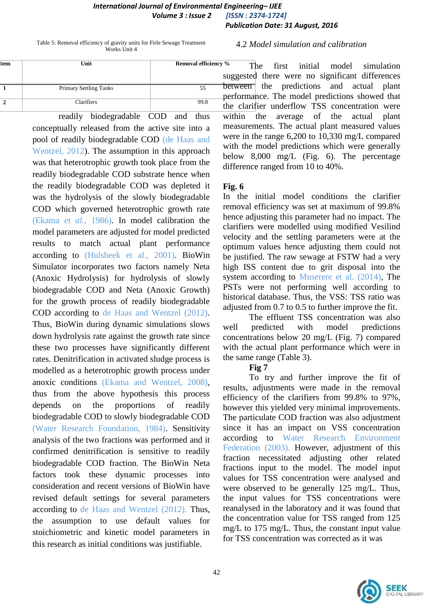Table 5: Removal efficiency of gravity units for Firle Sewage Treatment Works Unit 4

4.2 *Model simulation and calibration*

| <b>Item</b>   | Unit                          | <b>Removal efficiency %</b> |  |  |
|---------------|-------------------------------|-----------------------------|--|--|
|               |                               | su                          |  |  |
|               | <b>Primary Settling Tanks</b> | DΕ<br>55<br>рє              |  |  |
| $\mathcal{D}$ | Clarifiers                    | 99.8                        |  |  |

readily biodegradable COD and thus conceptually released from the active site into a pool of readily biodegradable COD (de Haas and Wentzel, 2012). The assumption in this approach was that heterotrophic growth took place from the readily biodegradable COD substrate hence when the readily biodegradable COD was depleted it was the hydrolysis of the slowly biodegradable COD which governed heterotrophic growth rate (Ekama *et al.,* 1986). In model calibration the model parameters are adjusted for model predicted results to match actual plant performance according to (Hulsbeek et al., 2001). BioWin Simulator incorporates two factors namely Neta (Anoxic Hydrolysis) for hydrolysis of slowly biodegradable COD and Neta (Anoxic Growth) for the growth process of readily biodegradable COD according to de Haas and Wentzel (2012). Thus, BioWin during dynamic simulations slows down hydrolysis rate against the growth rate since these two processes have significantly different rates. Denitrification in activated sludge process is modelled as a heterotrophic growth process under anoxic conditions (Ekama and Wentzel, 2008), thus from the above hypothesis this process depends on the proportions of readily biodegradable COD to slowly biodegradable COD (Water Research Foundation, 1984). Sensitivity analysis of the two fractions was performed and it confirmed denitrification is sensitive to readily biodegradable COD fraction. The BioWin Neta factors took these dynamic processes into consideration and recent versions of BioWin have revised default settings for several parameters according to de Haas and Wentzel (2012). Thus, the assumption to use default values for stoichiometric and kinetic model parameters in this research as initial conditions was justifiable.

The first initial model simulation suggested there were no significant differences between the predictions and actual plant performance. The model predictions showed that the clarifier underflow TSS concentration were within the average of the actual plant measurements. The actual plant measured values were in the range 6,200 to 10,330 mg/L compared with the model predictions which were generally below 8,000 mg/L (Fig. 6). The percentage difference ranged from 10 to 40%.

# **Fig. 6**

In the initial model conditions the clarifier removal efficiency was set at maximum of 99.8% hence adjusting this parameter had no impact. The clarifiers were modelled using modified Vesilind velocity and the settling parameters were at the optimum values hence adjusting them could not be justified. The raw sewage at FSTW had a very high ISS content due to grit disposal into the system according to Muserere et al. (2014), The PSTs were not performing well according to historical database. Thus, the VSS: TSS ratio was adjusted from 0.7 to 0.5 to further improve the fit.

The effluent TSS concentration was also well predicted with model predictions concentrations below 20 mg/L (Fig. 7) compared with the actual plant performance which were in the same range (Table 3).

**Fig 7**

To try and further improve the fit of results, adjustments were made in the removal efficiency of the clarifiers from 99.8% to 97%, however this yielded very minimal improvements. The particulate COD fraction was also adjustment since it has an impact on VSS concentration according to Water Research Environment Federation (2003). However, adjustment of this fraction necessitated adjusting other related fractions input to the model. The model input values for TSS concentration were analysed and were observed to be generally 125 mg/L. Thus, the input values for TSS concentrations were reanalysed in the laboratory and it was found that the concentration value for TSS ranged from 125 mg/L to 175 mg/L. Thus, the constant input value for TSS concentration was corrected as it was

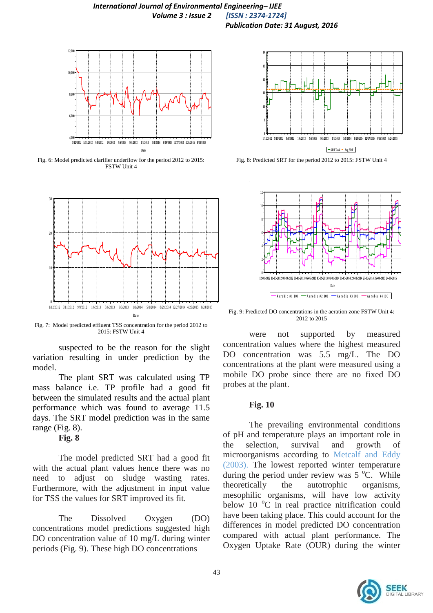

Fig. 6: Model predicted clarifier underflow for the period 2012 to 2015: FSTW Unit 4



Fig. 7: Model predicted effluent TSS concentration for the period 2012 to 2015: FSTW Unit 4

suspected to be the reason for the slight variation resulting in under prediction by the model.

The plant SRT was calculated using TP mass balance i.e. TP profile had a good fit between the simulated results and the actual plant performance which was found to average 11.5 days. The SRT model prediction was in the same range (Fig. 8).

# **Fig. 8**

The model predicted SRT had a good fit with the actual plant values hence there was no need to adjust on sludge wasting rates. Furthermore, with the adjustment in input value for TSS the values for SRT improved its fit.

The Dissolved Oxygen (DO) concentrations model predictions suggested high DO concentration value of 10 mg/L during winter periods (Fig. 9). These high DO concentrations



Fig. 8: Predicted SRT for the period 2012 to 2015: FSTW Unit 4



Fig. 9: Predicted DO concentrations in the aeration zone FSTW Unit 4: 2012 to 2015

were not supported by measured concentration values where the highest measured DO concentration was 5.5 mg/L. The DO concentrations at the plant were measured using a mobile DO probe since there are no fixed DO probes at the plant.

#### **Fig. 10**

The prevailing environmental conditions of pH and temperature plays an important role in the selection, survival and growth of microorganisms according to Metcalf and Eddy (2003). The lowest reported winter temperature during the period under review was  $5^{\circ}$ C. While theoretically the autotrophic organisms, mesophilic organisms, will have low activity below 10  $^{\circ}$ C in real practice nitrification could have been taking place. This could account for the differences in model predicted DO concentration compared with actual plant performance. The Oxygen Uptake Rate (OUR) during the winter

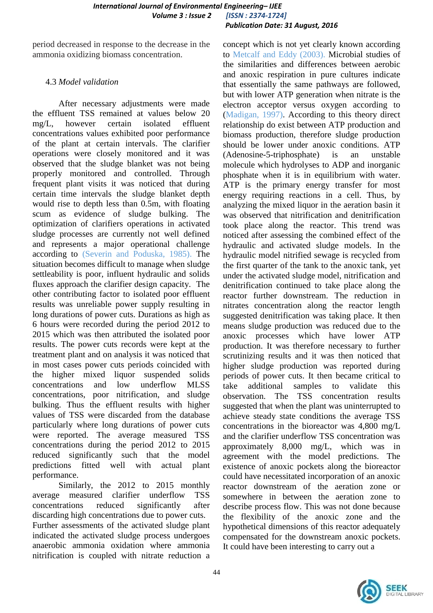period decreased in response to the decrease in the ammonia oxidizing biomass concentration.

# 4.3 *Model validation*

After necessary adjustments were made the effluent TSS remained at values below 20 mg/L, however certain isolated effluent concentrations values exhibited poor performance of the plant at certain intervals. The clarifier operations were closely monitored and it was observed that the sludge blanket was not being properly monitored and controlled. Through frequent plant visits it was noticed that during certain time intervals the sludge blanket depth would rise to depth less than 0.5m, with floating scum as evidence of sludge bulking. The optimization of clarifiers operations in activated sludge processes are currently not well defined and represents a major operational challenge according to (Severin and Poduska, 1985). The situation becomes difficult to manage when sludge settleability is poor, influent hydraulic and solids fluxes approach the clarifier design capacity. The other contributing factor to isolated poor effluent results was unreliable power supply resulting in long durations of power cuts. Durations as high as 6 hours were recorded during the period 2012 to 2015 which was then attributed the isolated poor results. The power cuts records were kept at the treatment plant and on analysis it was noticed that in most cases power cuts periods coincided with the higher mixed liquor suspended solids concentrations and low underflow MLSS concentrations, poor nitrification, and sludge bulking. Thus the effluent results with higher values of TSS were discarded from the database particularly where long durations of power cuts were reported. The average measured TSS concentrations during the period 2012 to 2015 reduced significantly such that the model predictions fitted well with actual plant performance.

Similarly, the 2012 to 2015 monthly average measured clarifier underflow TSS concentrations reduced significantly after discarding high concentrations due to power cuts. Further assessments of the activated sludge plant indicated the activated sludge process undergoes anaerobic ammonia oxidation where ammonia nitrification is coupled with nitrate reduction a

concept which is not yet clearly known according to Metcalf and Eddy (2003). Microbial studies of the similarities and differences between aerobic and anoxic respiration in pure cultures indicate that essentially the same pathways are followed, but with lower ATP generation when nitrate is the electron acceptor versus oxygen according to (Madigan, 1997). According to this theory direct relationship do exist between ATP production and biomass production, therefore sludge production should be lower under anoxic conditions. ATP (Adenosine-5-triphosphate) is an unstable molecule which hydrolyses to ADP and inorganic phosphate when it is in equilibrium with water. ATP is the primary energy transfer for most energy requiring reactions in a cell. Thus, by analyzing the mixed liquor in the aeration basin it was observed that nitrification and denitrification took place along the reactor. This trend was noticed after assessing the combined effect of the hydraulic and activated sludge models. In the hydraulic model nitrified sewage is recycled from the first quarter of the tank to the anoxic tank, yet under the activated sludge model, nitrification and denitrification continued to take place along the reactor further downstream. The reduction in nitrates concentration along the reactor length suggested denitrification was taking place. It then means sludge production was reduced due to the anoxic processes which have lower ATP production. It was therefore necessary to further scrutinizing results and it was then noticed that higher sludge production was reported during periods of power cuts. It then became critical to take additional samples to validate this observation. The TSS concentration results suggested that when the plant was uninterrupted to achieve steady state conditions the average TSS concentrations in the bioreactor was 4,800 mg/L and the clarifier underflow TSS concentration was approximately 8,000 mg/L, which was in agreement with the model predictions. The existence of anoxic pockets along the bioreactor could have necessitated incorporation of an anoxic reactor downstream of the aeration zone or somewhere in between the aeration zone to describe process flow. This was not done because the flexibility of the anoxic zone and the hypothetical dimensions of this reactor adequately compensated for the downstream anoxic pockets. It could have been interesting to carry out a

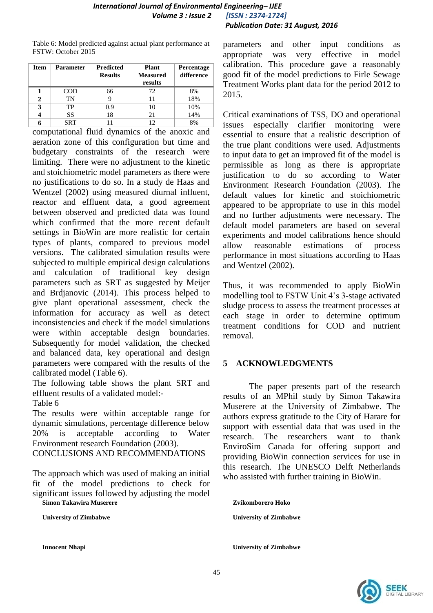Table 6: Model predicted against actual plant performance at FSTW: October 2015

| <b>Item</b> | <b>Parameter</b> | <b>Predicted</b><br><b>Results</b> | Plant<br><b>Measured</b><br>results | <b>Percentage</b><br>difference |
|-------------|------------------|------------------------------------|-------------------------------------|---------------------------------|
|             | COD              | 66                                 | 72                                  | 8%                              |
| 2           | TN               |                                    | 11                                  | 18%                             |
| 3           | TP               | 0.9                                | 10                                  | 10%                             |
|             | SS               | 18                                 | 21                                  | 14%                             |
|             | <b>SRT</b>       |                                    | 12                                  | 8%                              |

computational fluid dynamics of the anoxic and aeration zone of this configuration but time and budgetary constraints of the research were limiting. There were no adjustment to the kinetic and stoichiometric model parameters as there were no justifications to do so. In a study de Haas and Wentzel (2002) using measured diurnal influent, reactor and effluent data, a good agreement between observed and predicted data was found which confirmed that the more recent default settings in BioWin are more realistic for certain types of plants, compared to previous model versions. The calibrated simulation results were subjected to multiple empirical design calculations and calculation of traditional key design parameters such as SRT as suggested by Meijer and Brdjanovic (2014). This process helped to give plant operational assessment, check the information for accuracy as well as detect inconsistencies and check if the model simulations were within acceptable design boundaries. Subsequently for model validation, the checked and balanced data, key operational and design parameters were compared with the results of the calibrated model (Table 6).

The following table shows the plant SRT and effluent results of a validated model:- Table 6

The results were within acceptable range for dynamic simulations, percentage difference below 20% is acceptable according to Water Environment research Foundation (2003).

CONCLUSIONS AND RECOMMENDATIONS

The approach which was used of making an initial fit of the model predictions to check for significant issues followed by adjusting the model **Simon Takawira Muserere**

**University of Zimbabwe**

parameters and other input conditions as appropriate was very effective in model calibration. This procedure gave a reasonably good fit of the model predictions to Firle Sewage Treatment Works plant data for the period 2012 to 2015.

Critical examinations of TSS, DO and operational issues especially clarifier monitoring were essential to ensure that a realistic description of the true plant conditions were used. Adjustments to input data to get an improved fit of the model is permissible as long as there is appropriate justification to do so according to Water Environment Research Foundation (2003). The default values for kinetic and stoichiometric appeared to be appropriate to use in this model and no further adjustments were necessary. The default model parameters are based on several experiments and model calibrations hence should allow reasonable estimations of process performance in most situations according to Haas and Wentzel (2002).

Thus, it was recommended to apply BioWin modelling tool to FSTW Unit 4's 3-stage activated sludge process to assess the treatment processes at each stage in order to determine optimum treatment conditions for COD and nutrient removal.

# **5 ACKNOWLEDGMENTS**

The paper presents part of the research results of an MPhil study by Simon Takawira Muserere at the University of Zimbabwe. The authors express gratitude to the City of Harare for support with essential data that was used in the research. The researchers want to thank EnviroSim Canada for offering support and providing BioWin connection services for use in this research. The UNESCO Delft Netherlands who assisted with further training in BioWin.

**Zvikomborero Hoko University of Zimbabwe**

**Innocent Nhapi University of Zimbabwe**

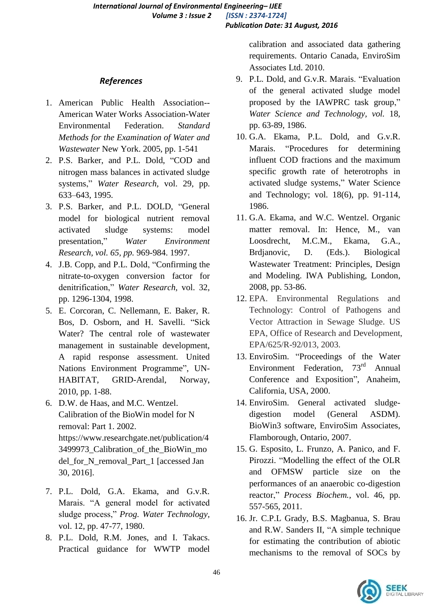# *References*

- 1. American Public Health Association-- American Water Works Association-Water Environmental Federation. *Standard Methods for the Examination of Water and Wastewater* New York. 2005, pp. 1-541
- 2. P.S. Barker, and P.L. Dold, "COD and nitrogen mass balances in activated sludge systems," Water Research, vol. 29, pp. 633–643, 1995.
- 3. P.S. Barker, and P.L. DOLD, "General model for biological nutrient removal activated sludge systems: model presentation,‖ *Water Environment Research, vol. 65, pp.* 969-984. 1997.
- 4. J.B. Copp, and P.L. Dold, "Confirming the nitrate-to-oxygen conversion factor for denitrification," Water Research, vol. 32, pp. 1296-1304, 1998.
- 5. E. Corcoran, C. Nellemann, E. Baker, R. Bos, D. Osborn, and H. Savelli. "Sick Water? The central role of wastewater management in sustainable development, A rapid response assessment. United Nations Environment Programme", UN-HABITAT, GRID-Arendal, Norway, 2010, pp. 1-88.
- 6. D.W. de Haas, and M.C. Wentzel. Calibration of the BioWin model for N removal: Part 1. 2002. https://www.researchgate.net/publication/4 3499973\_Calibration\_of\_the\_BioWin\_mo del\_for\_N\_removal\_Part\_1 [accessed Jan 30, 2016].
- 7. P.L. Dold, G.A. Ekama, and G.v.R. Marais. "A general model for activated sludge process," Prog. Water Technology, vol. 12, pp. 47-77, 1980.
- 8. P.L. Dold, R.M. Jones, and I. Takacs. Practical guidance for WWTP model

calibration and associated data gathering requirements. Ontario Canada, EnviroSim Associates Ltd. 2010.

- 9. P.L. Dold, and G.v.R. Marais. "Evaluation of the general activated sludge model proposed by the IAWPRC task group," *Water Science and Technology, vol.* 18, pp. 63-89, 1986.
- 10. G.A. Ekama, P.L. Dold, and G.v.R. Marais. "Procedures for determining influent COD fractions and the maximum specific growth rate of heterotrophs in activated sludge systems," Water Science and Technology; vol. 18(6), pp. 91-114, 1986.
- 11. G.A. Ekama, and W.C. Wentzel. Organic matter removal. In: Hence, M., van Loosdrecht, M.C.M., Ekama, G.A., Brdjanovic, D. (Eds.). Biological Wastewater Treatment: Principles, Design and Modeling. IWA Publishing, London, 2008, pp. 53-86.
- 12. EPA. Environmental Regulations and Technology: Control of Pathogens and Vector Attraction in Sewage Sludge. US EPA, Office of Research and Development, EPA/625/R-92/013, 2003.
- 13. EnviroSim. "Proceedings of the Water Environment Federation, 73<sup>rd</sup> Annual Conference and Exposition", Anaheim, California, USA, 2000.
- 14. EnviroSim. General activated sludgedigestion model (General ASDM). BioWin3 software, EnviroSim Associates, Flamborough, Ontario, 2007.
- 15. G. Esposito, L. Frunzo, A. Panico, and F. Pirozzi. "Modelling the effect of the OLR and OFMSW particle size on the performances of an anaerobic co-digestion reactor," *Process Biochem.*, vol. 46, pp. 557-565, 2011.
- 16. Jr. C.P.L Grady, B.S. Magbanua, S. Brau and R.W. Sanders II, "A simple technique for estimating the contribution of abiotic mechanisms to the removal of SOCs by

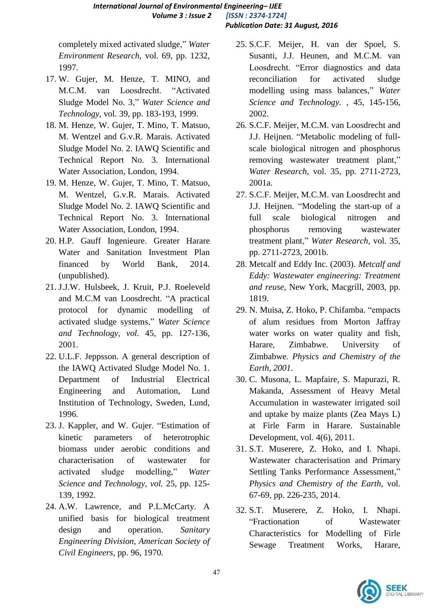completely mixed activated sludge," Water *Environment Research,* vol. 69, pp. 1232, 1997.

- 17. W. Gujer, M. Henze, T. MINO, and M.C.M. van Loosdrecht. "Activated Sludge Model No. 3," Water Science and *Technology,* vol. 39, pp. 183-193, 1999.
- 18. M. Henze, W. Gujer, T. Mino, T. Matsuo, M. Wentzel and G.v.R. Marais. Activated Sludge Model No. 2. IAWQ Scientific and Technical Report No. 3. International Water Association, London, 1994.
- 19. M. Henze, W. Gujer, T. Mino, T. Matsuo, M. Wentzel, G.v.R. Marais. Activated Sludge Model No. 2. IAWQ Scientific and Technical Report No. 3. International Water Association, London, 1994.
- 20. H.P. Gauff Ingenieure. Greater Harare Water and Sanitation Investment Plan financed by World Bank, 2014. (unpublished).
- 21. J.J.W. Hulsbeek, J. Kruit, P.J. Roeleveld and M.C.M van Loosdrecht. "A practical protocol for dynamic modelling of activated sludge systems,‖ *Water Science and Technology, vol.* 45, pp. 127-136, 2001.
- 22. U.L.F. Jeppsson. A general description of the IAWQ Activated Sludge Model No. 1. Department of Industrial Electrical Engineering and Automation, Lund Institution of Technology, Sweden, Lund, 1996.
- 23. J. Kappler, and W. Gujer. "Estimation of kinetic parameters of heterotrophic biomass under aerobic conditions and characterisation of wastewater for activated sludge modelling," Water *Science and Technology, vol.* 25, pp. 125- 139, 1992.
- 24. A.W. Lawrence, and P.L.McCarty. A unified basis for biological treatment design and operation. *Sanitary Engineering Division, American Society of Civil Engineers,* pp. 96, 1970.
- 25. S.C.F. Meijer, H. van der Spoel, S. Susanti, J.J. Heunen, and M.C.M. van Loosdrecht. "Error diagnostics and data reconciliation for activated sludge modelling using mass balances," Water *Science and Technology. ,* 45, 145-156, 2002.
- 26. S.C.F. Meijer, M.C.M. van Loosdrecht and J.J. Heijnen. "Metabolic modeling of fullscale biological nitrogen and phosphorus removing wastewater treatment plant," *Water Research,* vol. 35, pp. 2711-2723, 2001a.
- 27. S.C.F. Meijer, M.C.M. van Loosdrecht and J.J. Heijnen. "Modeling the start-up of a full scale biological nitrogen and phosphorus removing wastewater treatment plant,‖ *Water Research,* vol. 35, pp. 2711-2723, 2001b.
- 28. Metcalf and Eddy Inc. (2003). *Metcalf and Eddy: Wastewater engineering: Treatment and reuse,* New York, Macgrill, 2003, pp. 1819.
- 29. N. Muisa, Z. Hoko, P. Chifamba. "empacts" of alum residues from Morton Jaffray water works on water quality and fish, Harare, Zimbabwe. University of Zimbabwe. *Physics and Chemistry of the Earth, 2001*.
- 30. C. Musona, L. Mapfaire, S. Mapurazi, R. Makanda, Assessment of Heavy Metal Accumulation in wastewater irrigated soil and uptake by maize plants (Zea Mays L) at Firle Farm in Harare. Sustainable Development, vol. 4(6), 2011.
- 31. S.T. Muserere, Z. Hoko, and I. Nhapi. Wastewater characterisation and Primary Settling Tanks Performance Assessment," *Physics and Chemistry of the Earth,* vol. 67-69, pp. 226-235, 2014.
- 32. S.T. Muserere, Z. Hoko, I. Nhapi. ―Fractionation of Wastewater Characteristics for Modelling of Firle Sewage Treatment Works, Harare,

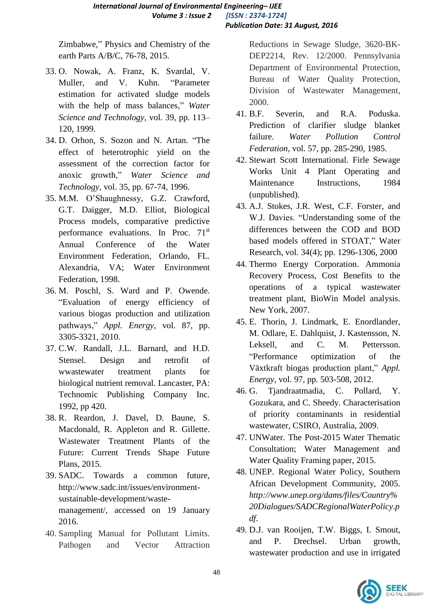Zimbabwe," Physics and Chemistry of the earth Parts A/B/C, 76-78, 2015.

- 33. O. Nowak, A. Franz, K. Svardal, V. Muller, and V. Kuhn. "Parameter estimation for activated sludge models with the help of mass balances," Water *Science and Technology,* vol. 39, pp. 113– 120, 1999.
- 34. D. Orhon, S. Sozon and N. Artan. "The effect of heterotrophic yield on the assessment of the correction factor for anoxic growth," Water Science and *Technology,* vol. 35, pp. 67-74, 1996.
- 35. M.M. O'Shaughnessy, G.Z. Crawford, G.T. Daigger, M.D. Elliot, Biological Process models, comparative predictive performance evaluations. In Proc. 71<sup>st</sup> Annual Conference of the Water Environment Federation, Orlando, FL. Alexandria, VA; Water Environment Federation, 1998.
- 36. M. Poschl, S. Ward and P. Owende. ―Evaluation of energy efficiency of various biogas production and utilization pathways," *Appl. Energy*, vol. 87, pp. 3305-3321, 2010.
- 37. C.W. Randall, J.L. Barnard, and H.D. Stensel. Design and retrofit of wwastewater treatment plants for biological nutrient removal. Lancaster, PA: Technomic Publishing Company Inc. 1992, pp 420.
- 38. R. Reardon, J. Davel, D. Baune, S. Macdonald, R. Appleton and R. Gillette. Wastewater Treatment Plants of the Future: Current Trends Shape Future Plans, 2015.
- 39. SADC. Towards a common future, http://www.sadc.int/issues/environmentsustainable-development/wastemanagement/, accessed on 19 January 2016.
- 40. Sampling Manual for Pollutant Limits. Pathogen and Vector Attraction

Reductions in Sewage Sludge, 3620-BK-DEP2214, Rev. 12/2000. Pennsylvania Department of Environmental Protection, Bureau of Water Quality Protection, Division of Wastewater Management, 2000.

- 41. B.F. Severin, and R.A. Poduska. Prediction of clarifier sludge blanket failure. *Water Pollution Control Federation,* vol. 57, pp. 285-290, 1985.
- 42. Stewart Scott International. Firle Sewage Works Unit 4 Plant Operating and Maintenance Instructions, 1984 (unpublished).
- 43. A.J. Stokes, J.R. West, C.F. Forster, and W.J. Davies. "Understanding some of the differences between the COD and BOD based models offered in STOAT," Water Research, vol. 34(4); pp. 1296-1306, 2000
- 44. Thermo Energy Corporation. Ammonia Recovery Process, Cost Benefits to the operations of a typical wastewater treatment plant, BioWin Model analysis. New York, 2007.
- 45. E. Thorin, J. Lindmark, E. Enordlander, M. Odlare, E. Dahlquist, J. Kastensson, N. Leksell, and C. M. Pettersson. ―Performance optimization of the Växtkraft biogas production plant," *Appl. Energy,* vol. 97, pp. 503-508, 2012.
- 46. G. Tjandraatmadia, C. Pollard, Y. Gozukara, and C. Sheedy. Characterisation of priority contaminants in residential wastewater, CSIRO, Australia, 2009.
- 47. UNWater. The Post-2015 Water Thematic Consultation; Water Management and Water Quality Framing paper, 2015.
- 48. UNEP. Regional Water Policy, Southern African Development Community, 2005. *http://www.unep.org/dams/files/Country% 20Dialogues/SADCRegionalWaterPolicy.p df*.
- 49. D.J. van Rooijen, T.W. Biggs, I. Smout, and P. Drechsel. Urban growth, wastewater production and use in irrigated